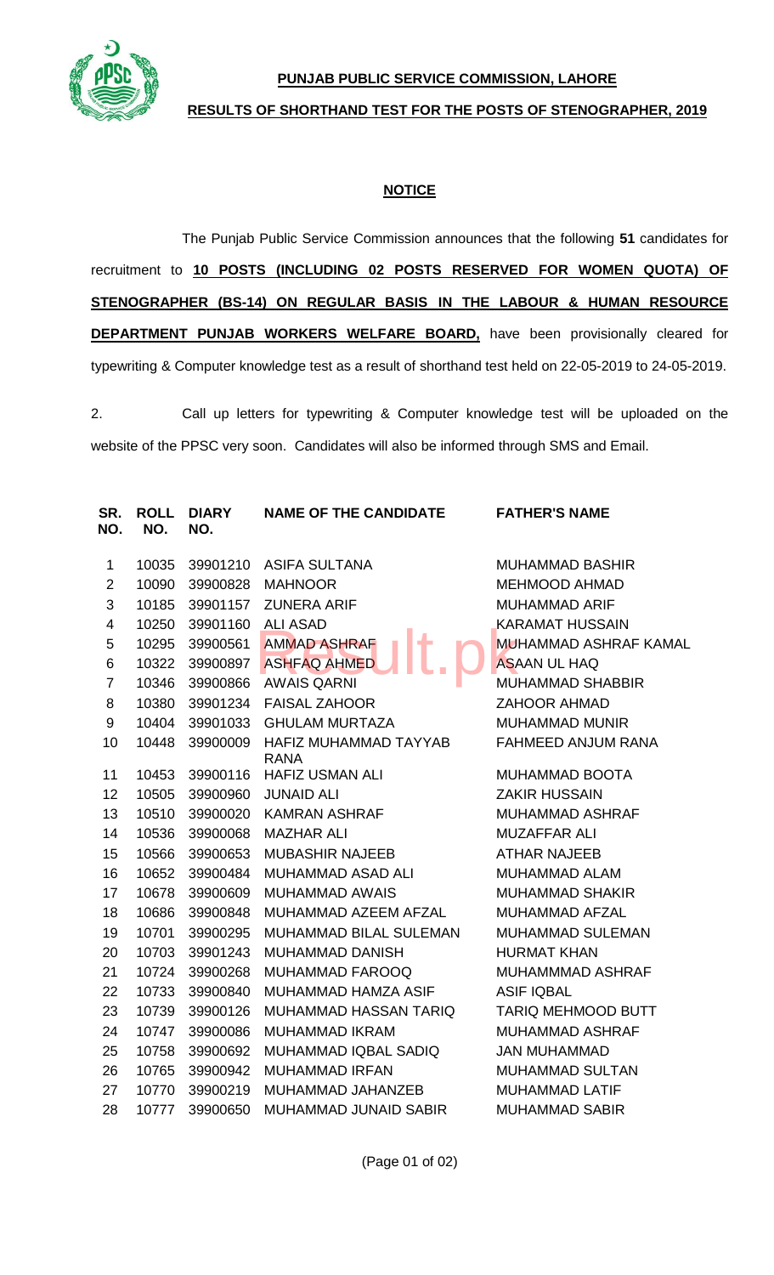

## **PUNJAB PUBLIC SERVICE COMMISSION, LAHORE**

## **RESULTS OF SHORTHAND TEST FOR THE POSTS OF STENOGRAPHER, 2019**

## **NOTICE**

The Punjab Public Service Commission announces that the following **51** candidates for recruitment to **10 POSTS (INCLUDING 02 POSTS RESERVED FOR WOMEN QUOTA) OF STENOGRAPHER (BS-14) ON REGULAR BASIS IN THE LABOUR & HUMAN RESOURCE DEPARTMENT PUNJAB WORKERS WELFARE BOARD,** have been provisionally cleared for typewriting & Computer knowledge test as a result of shorthand test held on 22-05-2019 to 24-05-2019.

2. Call up letters for typewriting & Computer knowledge test will be uploaded on the website of the PPSC very soon. Candidates will also be informed through SMS and Email.

| SR.<br>NO.              | <b>ROLL</b><br>NO. | <b>DIARY</b><br>NO. | <b>NAME OF THE CANDIDATE</b>         | <b>FATHER'S NAME</b>         |
|-------------------------|--------------------|---------------------|--------------------------------------|------------------------------|
| $\mathbf{1}$            | 10035              |                     | 39901210 ASIFA SULTANA               | <b>MUHAMMAD BASHIR</b>       |
| $\overline{2}$          | 10090              | 39900828            | <b>MAHNOOR</b>                       | <b>MEHMOOD AHMAD</b>         |
| 3                       | 10185              | 39901157            | <b>ZUNERA ARIF</b>                   | <b>MUHAMMAD ARIF</b>         |
| $\overline{\mathbf{4}}$ | 10250              | 39901160            | <b>ALI ASAD</b>                      | <b>KARAMAT HUSSAIN</b>       |
| 5                       | 10295              | 39900561            | <b>AMMAD ASHRAF</b>                  | <b>MUHAMMAD ASHRAF KAMAL</b> |
| 6                       | 10322              | 39900897            | <b>ASHFAQ AHMED</b>                  | <b>ASAAN UL HAQ</b>          |
| $\overline{7}$          | 10346              | 39900866            | <b>AWAIS QARNI</b>                   | <b>MUHAMMAD SHABBIR</b>      |
| 8                       | 10380              | 39901234            | <b>FAISAL ZAHOOR</b>                 | <b>ZAHOOR AHMAD</b>          |
| 9                       | 10404              | 39901033            | <b>GHULAM MURTAZA</b>                | <b>MUHAMMAD MUNIR</b>        |
| 10                      | 10448              | 39900009            | HAFIZ MUHAMMAD TAYYAB<br><b>RANA</b> | FAHMEED ANJUM RANA           |
| 11                      | 10453              | 39900116            | <b>HAFIZ USMAN ALI</b>               | MUHAMMAD BOOTA               |
| 12                      | 10505              | 39900960            | <b>JUNAID ALI</b>                    | <b>ZAKIR HUSSAIN</b>         |
| 13                      | 10510              | 39900020            | <b>KAMRAN ASHRAF</b>                 | <b>MUHAMMAD ASHRAF</b>       |
| 14                      | 10536              | 39900068            | <b>MAZHAR ALI</b>                    | <b>MUZAFFAR ALI</b>          |
| 15                      | 10566              | 39900653            | <b>MUBASHIR NAJEEB</b>               | <b>ATHAR NAJEEB</b>          |
| 16                      | 10652              | 39900484            | <b>MUHAMMAD ASAD ALI</b>             | <b>MUHAMMAD ALAM</b>         |
| 17                      | 10678              | 39900609            | <b>MUHAMMAD AWAIS</b>                | <b>MUHAMMAD SHAKIR</b>       |
| 18                      | 10686              | 39900848            | MUHAMMAD AZEEM AFZAL                 | <b>MUHAMMAD AFZAL</b>        |
| 19                      | 10701              | 39900295            | MUHAMMAD BILAL SULEMAN               | MUHAMMAD SULEMAN             |
| 20                      | 10703              | 39901243            | <b>MUHAMMAD DANISH</b>               | <b>HURMAT KHAN</b>           |
| 21                      | 10724              | 39900268            | <b>MUHAMMAD FAROOQ</b>               | MUHAMMMAD ASHRAF             |
| 22                      | 10733              | 39900840            | MUHAMMAD HAMZA ASIF                  | <b>ASIF IQBAL</b>            |
| 23                      | 10739              | 39900126            | <b>MUHAMMAD HASSAN TARIQ</b>         | TARIQ MEHMOOD BUTT           |
| 24                      | 10747              | 39900086            | <b>MUHAMMAD IKRAM</b>                | <b>MUHAMMAD ASHRAF</b>       |
| 25                      | 10758              | 39900692            | MUHAMMAD IQBAL SADIQ                 | <b>JAN MUHAMMAD</b>          |
| 26                      | 10765              | 39900942            | <b>MUHAMMAD IRFAN</b>                | <b>MUHAMMAD SULTAN</b>       |
| 27                      | 10770              | 39900219            | MUHAMMAD JAHANZEB                    | <b>MUHAMMAD LATIF</b>        |
| 28                      | 10777              | 39900650            | <b>MUHAMMAD JUNAID SABIR</b>         | <b>MUHAMMAD SABIR</b>        |